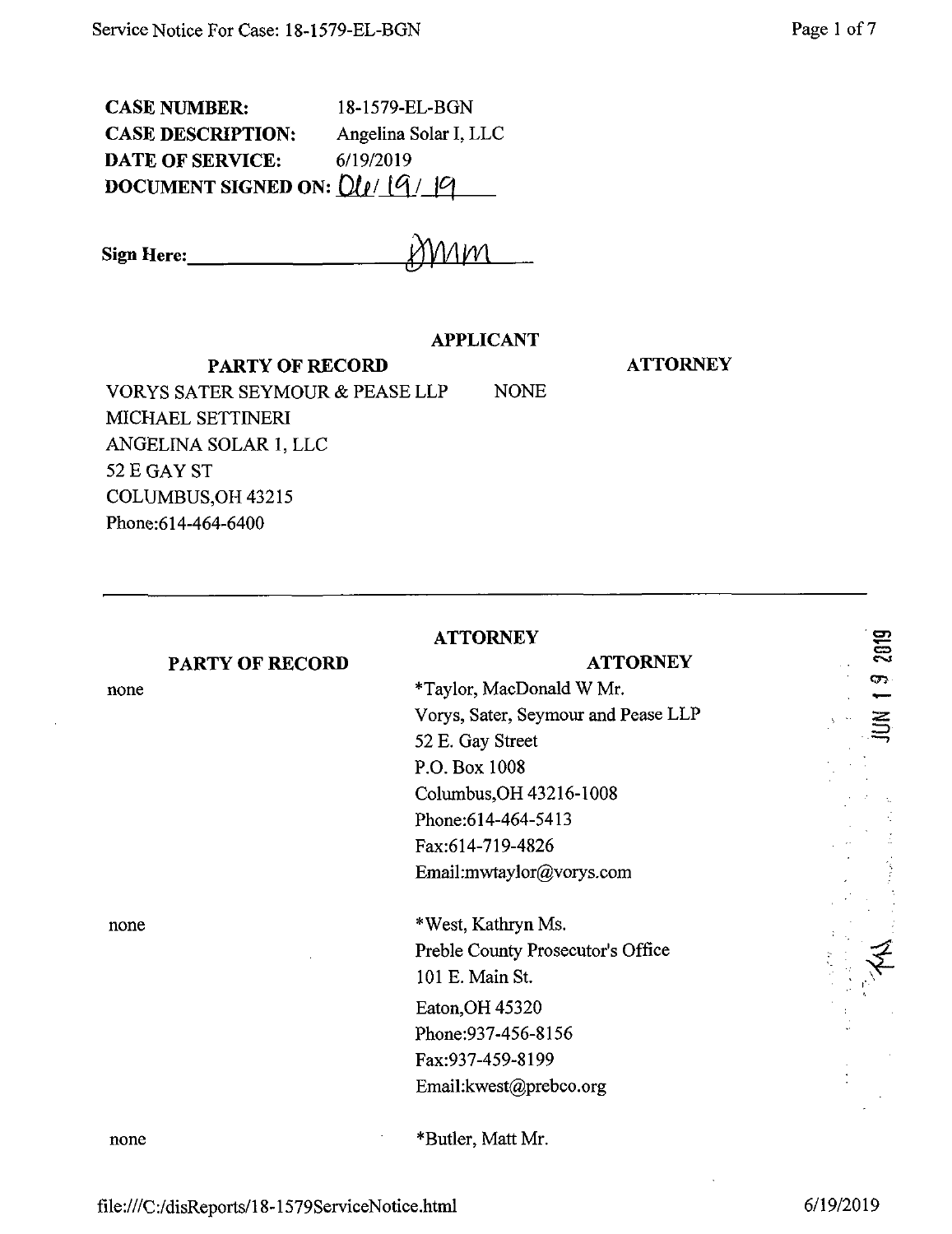CASE NUMBER: 18-1579-EL-BGN CASE DESCRIPTION: Angelina Solar I, LLC<br>DATE OF SERVICE: 6/19/2019 DATE OF SERVICE: **DOCUMENT SIGNED ON: D/p/**

Sign Here: **junior** 

## **APPLICANT**

#### **PARTY OF RECORD**

**ATTORNEY**

VORYS SATER SEYMOUR & PEASE LLP NONE MICHAEL SETTINERI ANGELINA SOLAR 1, LLC 52 E GAY ST COLUMBUS,OH 43215 Phone:614-464-6400

| <b>ATTORNEY</b>        |                                     |            |
|------------------------|-------------------------------------|------------|
| <b>PARTY OF RECORD</b> | <b>ATTORNEY</b>                     | 2019       |
| none                   | *Taylor, MacDonald W Mr.            | <b>CF3</b> |
|                        | Vorys, Sater, Seymour and Pease LLP |            |
|                        | 52 E. Gay Street                    |            |
|                        | P.O. Box 1008                       |            |
|                        | Columbus, OH 43216-1008             |            |
|                        | Phone: 614-464-5413                 |            |
|                        | Fax:614-719-4826                    |            |
|                        | Email:mwtaylor@vorys.com            |            |
| none                   | *West, Kathryn Ms.                  |            |
|                        | Preble County Prosecutor's Office   |            |
|                        | 101 E. Main St.                     |            |
|                        | Eaton, OH 45320                     |            |
|                        | Phone: 937-456-8156                 |            |
|                        | Fax:937-459-8199                    |            |
|                        | Email:kwest@prebco.org              |            |
| none                   | *Butler, Matt Mr.                   |            |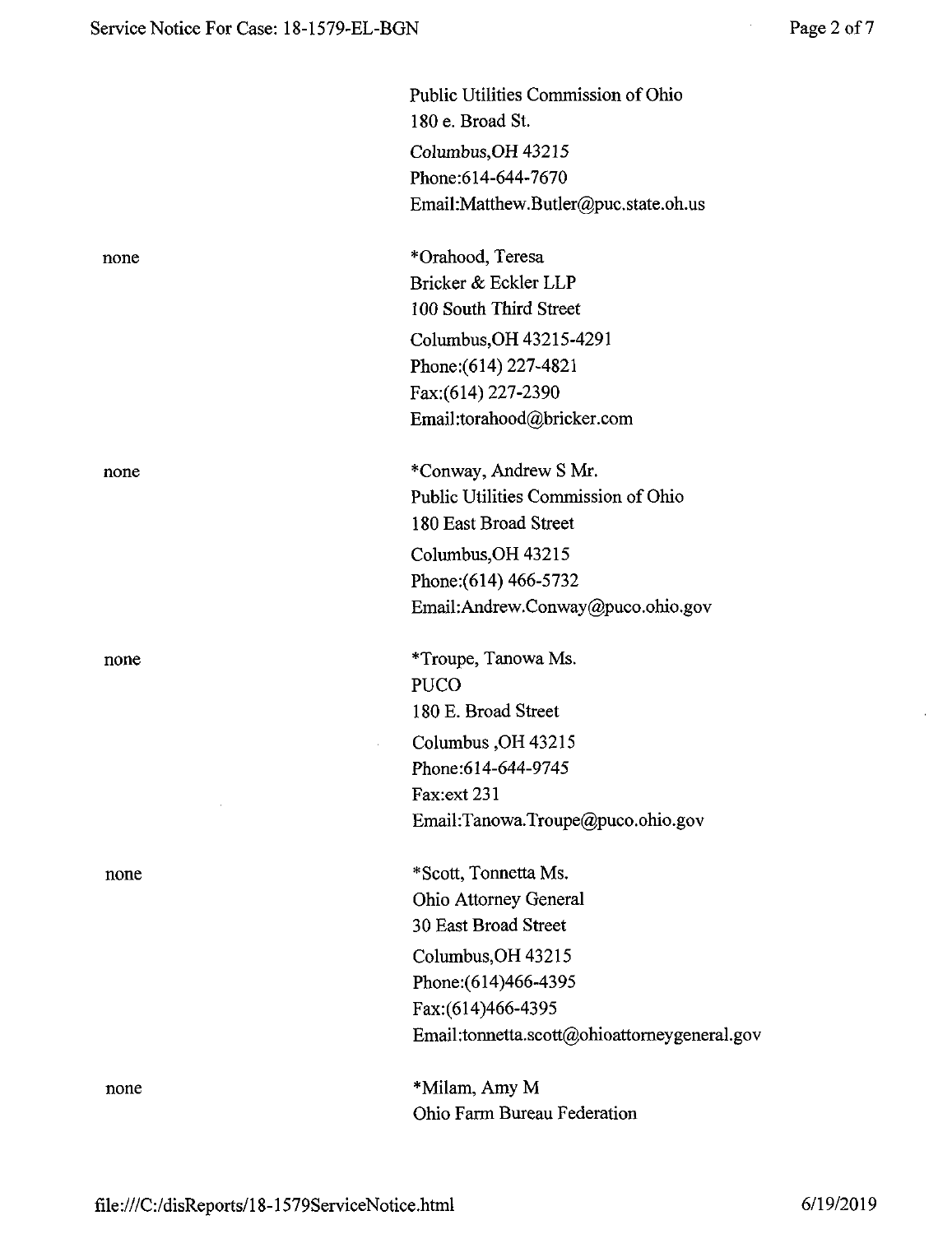|      | Public Utilities Commission of Ohio<br>180 e. Broad St. |
|------|---------------------------------------------------------|
|      | Columbus, OH 43215                                      |
|      | Phone: 614-644-7670                                     |
|      | Email:Matthew.Butler@puc.state.oh.us                    |
| none | *Orahood, Teresa                                        |
|      | Bricker & Eckler LLP                                    |
|      | 100 South Third Street                                  |
|      | Columbus, OH 43215-4291                                 |
|      | Phone: (614) 227-4821                                   |
|      | Fax:(614) 227-2390                                      |
|      | Email:torahood@bricker.com                              |
| none | *Conway, Andrew S Mr.                                   |
|      | Public Utilities Commission of Ohio                     |
|      | 180 East Broad Street                                   |
|      | Columbus, OH 43215                                      |
|      | Phone: (614) 466-5732                                   |
|      | Email:Andrew.Conway@puco.ohio.gov                       |
| none | *Troupe, Tanowa Ms.                                     |
|      | <b>PUCO</b>                                             |
|      | 180 E. Broad Street                                     |
|      | Columbus, OH 43215                                      |
|      | Phone: 614-644-9745                                     |
|      | Fax:ext 231                                             |
|      | Email:Tanowa.Troupe@puco.ohio.gov                       |
| none | *Scott, Tonnetta Ms.                                    |
|      | Ohio Attorney General                                   |
|      | 30 East Broad Street                                    |
|      | Columbus, OH 43215                                      |
|      | Phone: (614) 466-4395                                   |
|      | Fax:(614)466-4395                                       |
|      | Email:tonnetta.scott@ohioattorneygeneral.gov            |
| none | *Milam, Amy M                                           |
|      | Ohio Farm Bureau Federation                             |

 $\hat{\mathbf{r}}$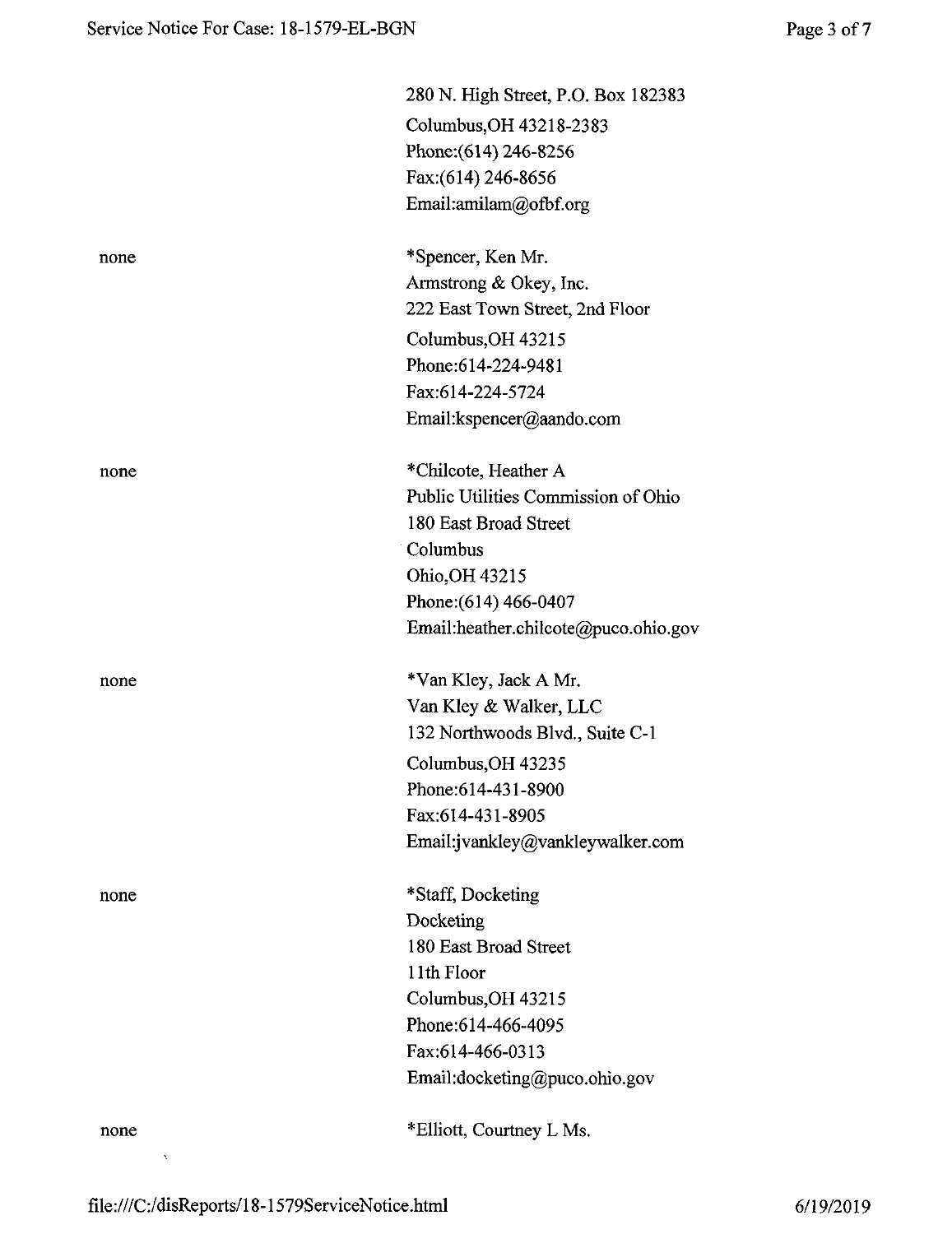|      | 280 N. High Street, P.O. Box 182383  |
|------|--------------------------------------|
|      | Columbus, OH 43218-2383              |
|      | Phone: (614) 246-8256                |
|      | Fax: (614) 246-8656                  |
|      | Email:amilam@ofbf.org                |
| none | *Spencer, Ken Mr.                    |
|      | Armstrong & Okey, Inc.               |
|      | 222 East Town Street, 2nd Floor      |
|      | Columbus, OH 43215                   |
|      | Phone:614-224-9481                   |
|      | Fax:614-224-5724                     |
|      | Email:kspencer@aando.com             |
| none | *Chilcote, Heather A                 |
|      | Public Utilities Commission of Ohio  |
|      | 180 East Broad Street                |
|      | Columbus                             |
|      | Ohio, OH 43215                       |
|      | Phone: (614) 466-0407                |
|      | Email:heather.chilcote@puco.ohio.gov |
| none | *Van Kley, Jack A Mr.                |
|      | Van Kley & Walker, LLC               |
|      | 132 Northwoods Blvd., Suite C-1      |
|      | Columbus, OH 43235                   |
|      | Phone: 614-431-8900                  |
|      | Fax:614-431-8905                     |
|      | Email:jvankley@vankleywalker.com     |
| none | *Staff, Docketing                    |
|      | Docketing                            |
|      | 180 East Broad Street                |
|      | 11th Floor                           |
|      | Columbus, OH 43215                   |
|      | Phone: 614-466-4095                  |
|      | Fax:614-466-0313                     |
|      | Email:docketing@puco.ohio.gov        |
| none | *Elliott, Courtney L Ms.             |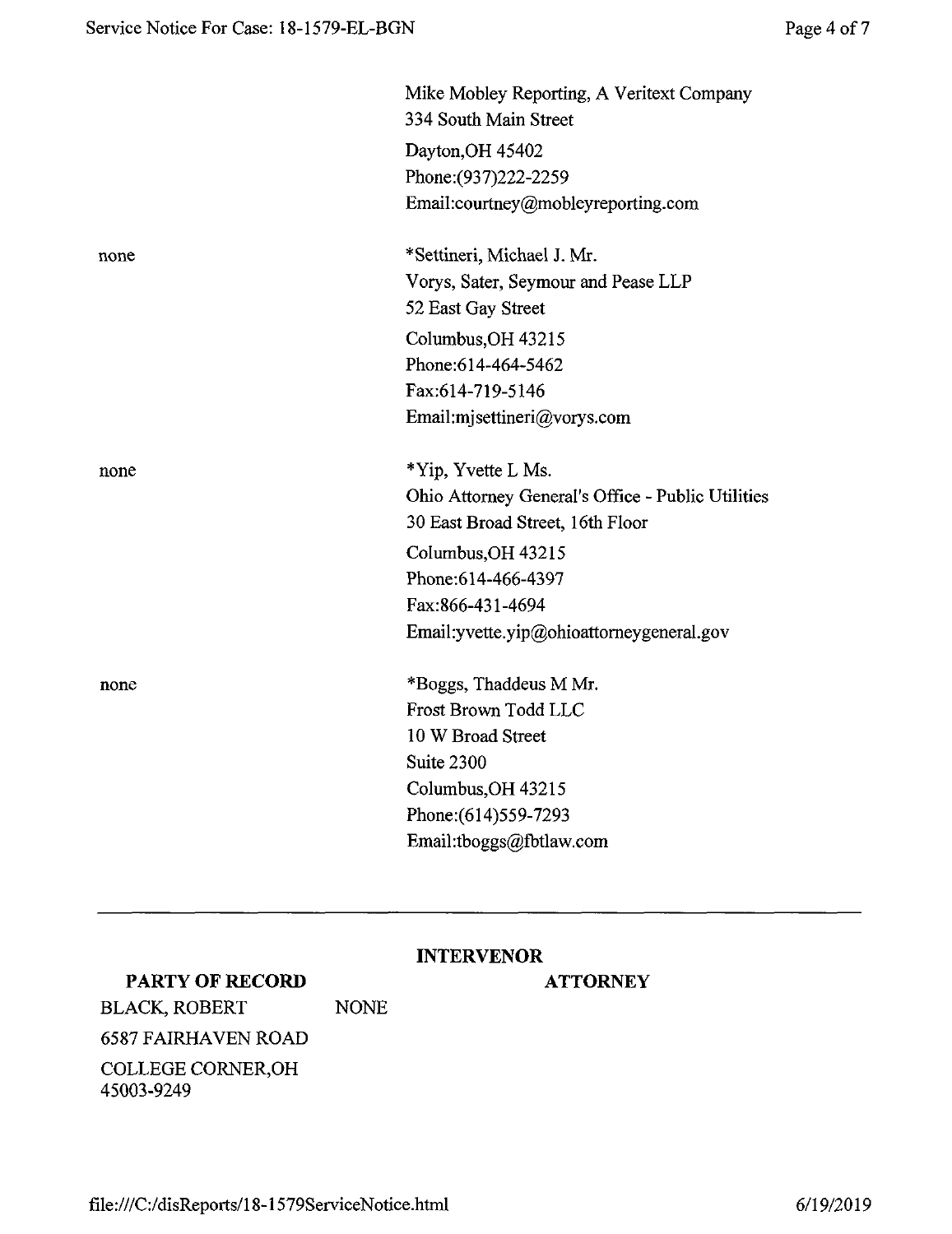|      | Mike Mobley Reporting, A Veritext Company<br>334 South Main Street |
|------|--------------------------------------------------------------------|
|      | Dayton, OH 45402                                                   |
|      | Phone: (937) 222-2259                                              |
|      | Email:courtney@mobleyreporting.com                                 |
| none | *Settineri, Michael J. Mr.                                         |
|      | Vorys, Sater, Seymour and Pease LLP                                |
|      | 52 East Gay Street                                                 |
|      | Columbus, OH 43215                                                 |
|      | Phone: 614-464-5462                                                |
|      | Fax:614-719-5146                                                   |
|      | Email:mjsettineri@vorys.com                                        |
| none | *Yip, Yvette L Ms.                                                 |
|      | Ohio Attorney General's Office - Public Utilities                  |
|      | 30 East Broad Street, 16th Floor                                   |
|      | Columbus, OH 43215                                                 |
|      | Phone: 614-466-4397                                                |
|      | Fax:866-431-4694                                                   |
|      | Email: yvette.yip@ohioattorneygeneral.gov                          |
| none | *Boggs, Thaddeus M Mr.                                             |
|      | Frost Brown Todd LLC                                               |
|      | 10 W Broad Street                                                  |
|      | Suite 2300                                                         |
|      | Columbus, OH 43215                                                 |
|      | Phone: (614) 559-7293                                              |
|      | Email:tboggs@fbtlaw.com                                            |

# **INTERVENOR**

# **PARTY OF RECORD**

### **ATTORNEY**

BLACK, ROBERT NONE 6587 FAIRHAVEN ROAD COLLEGE CORNER,OH 45003-9249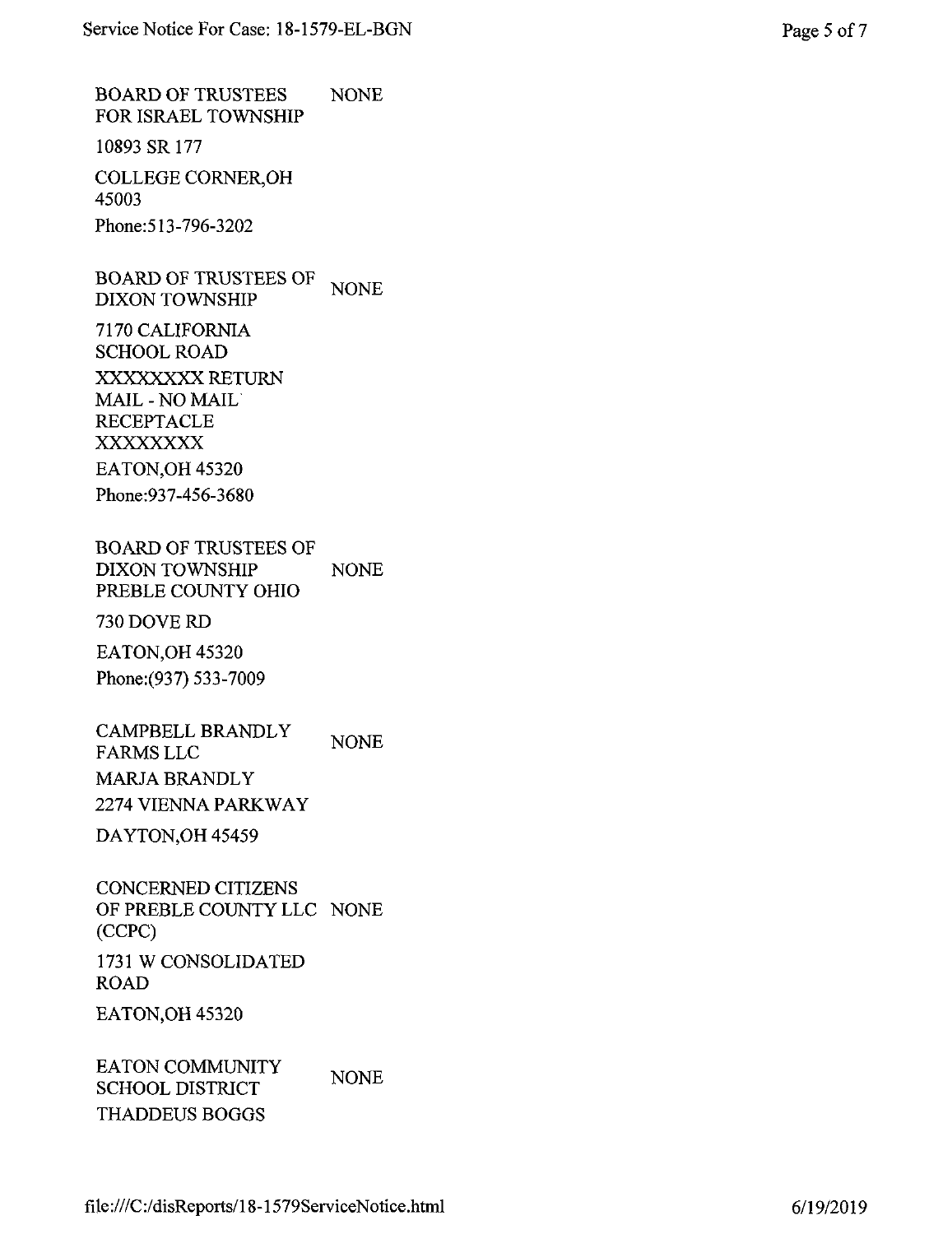BOARD OF TRUSTEES FOR ISRAEL TOWNSHIP NONE

10893 SR 177

COLLEGE CORNER,OH 45003 Phone:513-796-3202

BOARD OF TRUSTEES OF DIXON TOWNSHIP **NONE** 

7170 CALIFORNIA SCHOOL ROAD XXXXXXXX RETURN MAIL-NO MAIL RECEPTACLE XXXXXXXX EATON,OH 45320 Phone:937-456-3680

BOARD OF TRUSTEES OF DIXON TOWNSHIP PREBLE COUNTY OHIO NONE

730 DOVE RD

EATON,OH 45320 Phone:(937) 533-7009

CAMPBELL BRANDLY FARMS LLC MARJA BRANDLY 2274 VIENNA PARKWAY NONE

DAYTON,OH 45459

CONCERNED CITIZENS OF PREBLE COUNTY LLC NONE (CCPC) 1731 W CONSOLIDATED ROAD

EATON,OH 45320

EATON COMMUNITY SCHOOL DISTRICT THADDEUS BOGGS **NONE**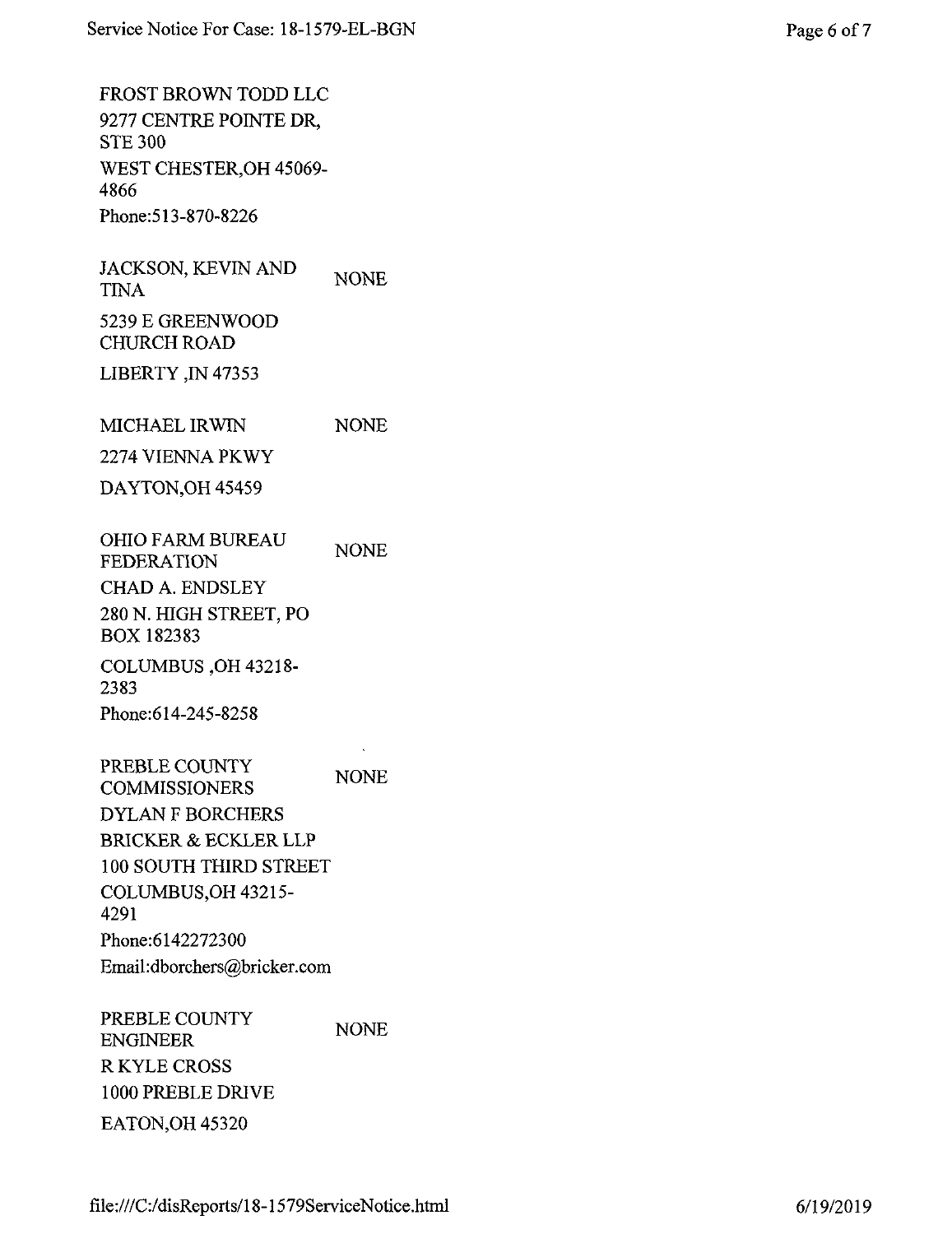FROST BROWN TODD LLC 9277 CENTRE POINTE DR, STE 300 WEST CHESTER,OH 45069- 4866 Phone:513-870-8226

JACKSON, KEVIN AND TINA 5239 E GREENWOOD CHURCH ROAD NONE

LIBERTY ,IN 47353

MICHAEL IRWIN NONE

2274 VIENNA PKWY

DAYTON,OH 45459

OHIO FARM BUREAU FEDERATION CHAD A. ENDSLEY 280 N. HIGH STREET, PO BOX 182383 COLUMBUS ,OH 43218- NONE

2383 Phone:614-245-8258

PREBLE COUNTY COMMISSIONERS DYLAN F BORCHERS BRICKER & ECKLER LLP 100 SOUTH THIRD STREET COLUMBUS,OH 43215- 4291 Phone:6142272300 Email:dborchers@bricker.com NONE

PREBLE COUNTY ENGINEER RKYLE CROSS 1000 PREBLE DRIVE EATON,OH 45320 NONE